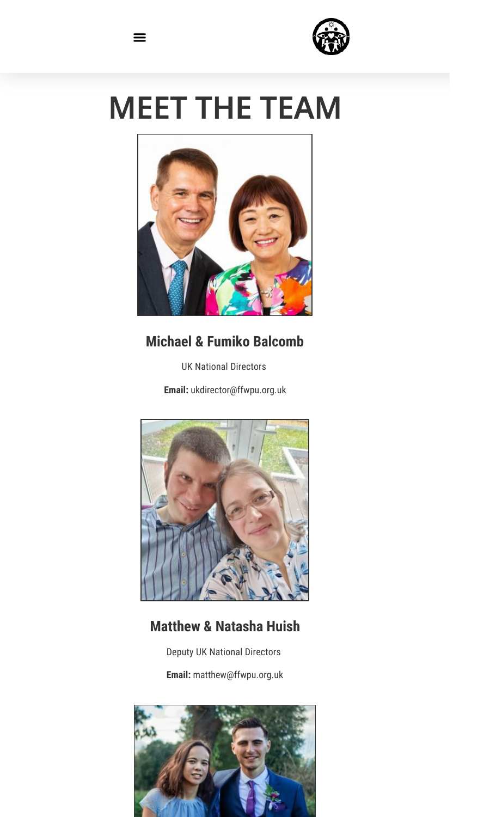

# MEET THE TEAM

 $\equiv$ 



# **Michael & Fumiko Balcomb**

UK National Directors

**Email:** ukdirector@ffwpu.org.uk



# **Matthew & Natasha Huish**

Deputy UK National Directors

**Email:** matthew@ffwpu.org.uk

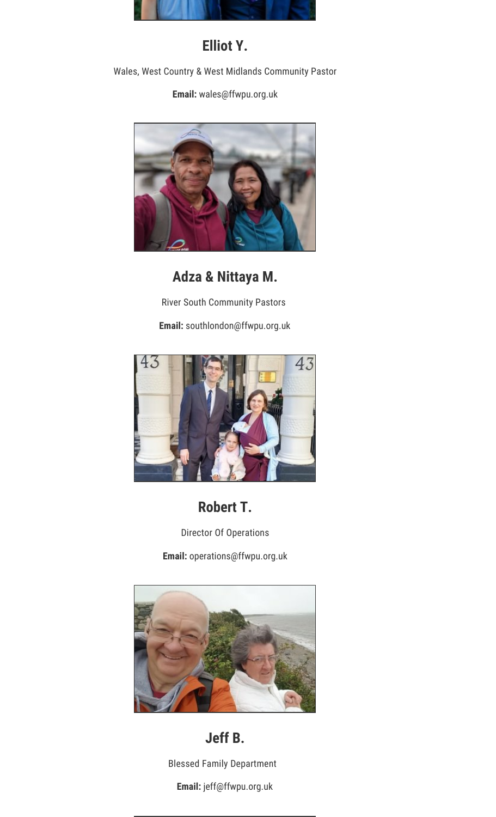

## **Elliot Y.**

Wales, West Country & West Midlands Community Pastor

**Email:** wales@ffwpu.org.uk



**Adza & Nittaya M.**

River South Community Pastors

**Email:** southlondon@ffwpu.org.uk



# **Robert T.**

Director Of Operations

**Email:** operations@ffwpu.org.uk



## **Jeff B.**

Blessed Family Department

**Email:** jeff@ffwpu.org.uk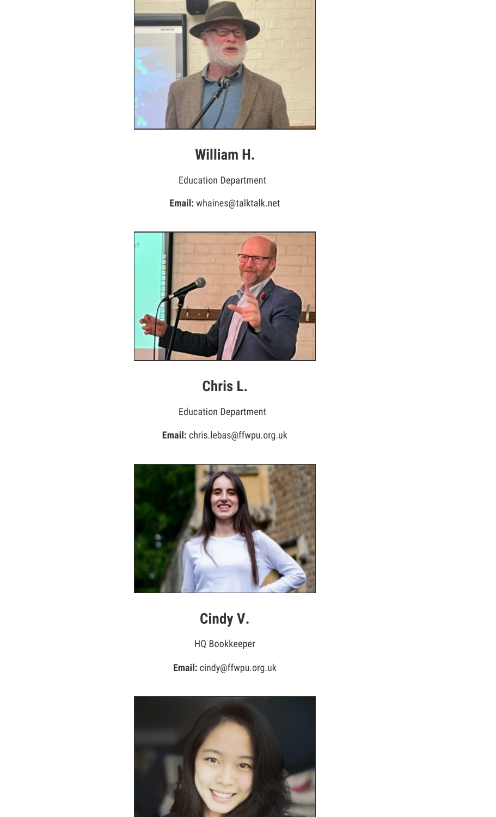

## **William H.**

Education Department

**Email:** whaines@talktalk.net



## **Chris L.**

Education Department **Email:** chris.lebas@ffwpu.org.uk



## **Cindy V.**

HQ Bookkeeper

**Email:** cindy@ffwpu.org.uk

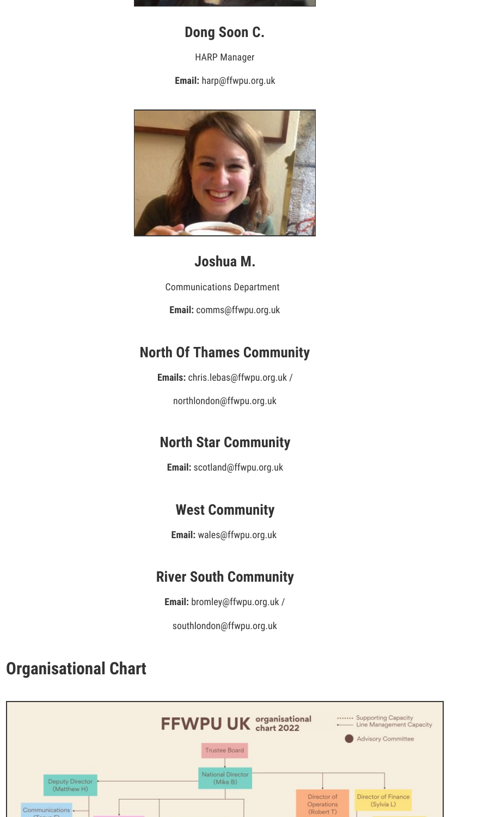

#### **Dong Soon C.**

HARP Manager

**Email:** harp@ffwpu.org.uk



## **Joshua M.**

Communications Department

**Email:** comms@ffwpu.org.uk

## **North Of Thames Community**

**Emails:** chris.lebas@ffwpu.org.uk /

northlondon@ffwpu.org.uk

# **North Star Community**

**Email:** scotland@ffwpu.org.uk

# **West Community**

**Email:** wales@ffwpu.org.uk

## **River South Community**

**Email:** bromley@ffwpu.org.uk /

southlondon@ffwpu.org.uk

# **Organisational Chart**

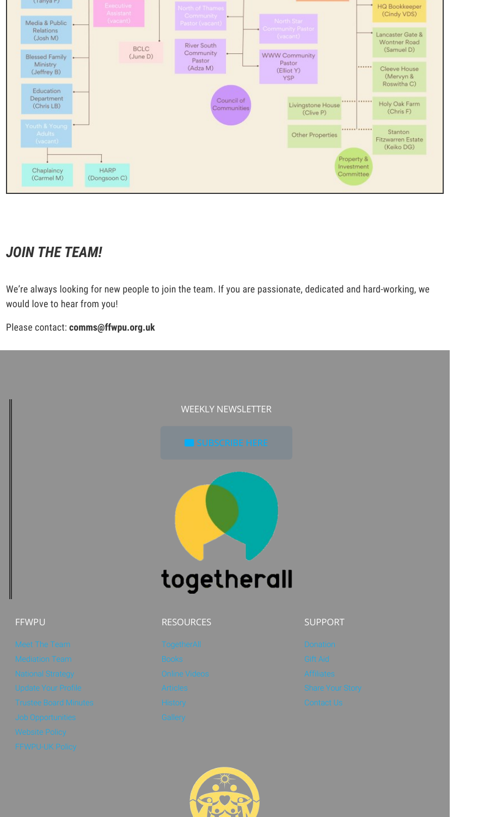

# *JOIN THE TEAM!*

We're always looking for new people to join the team. If you are passionate, dedicated and hard-working, we would love to hear from you!

#### Please contact: **comms@ffwpu.org.uk**

|                                                            | <b>WEEKLY NEWSLETTER</b>  |                                              |  |
|------------------------------------------------------------|---------------------------|----------------------------------------------|--|
|                                                            | SUBSCRIBE HERE            |                                              |  |
|                                                            |                           |                                              |  |
|                                                            |                           |                                              |  |
|                                                            | togetherall               |                                              |  |
| <b>FFWPU</b>                                               | <b>RESOURCES</b>          | <b>SUPPORT</b>                               |  |
| Meet The Team                                              | TogetherAll               | Donation                                     |  |
| Mediation Team                                             | <b>Books</b>              | Gift Aid                                     |  |
| <b>National Strategy</b>                                   | Online Videos<br>Articles | Affiliates                                   |  |
| <b>Update Your Profile</b><br><b>Trustee Board Minutes</b> | <b>History</b>            | <b>Share Your Story</b><br><b>Contact Us</b> |  |
| Job Opportunities                                          | Gallery                   |                                              |  |
|                                                            |                           |                                              |  |
| Website Policy                                             |                           |                                              |  |